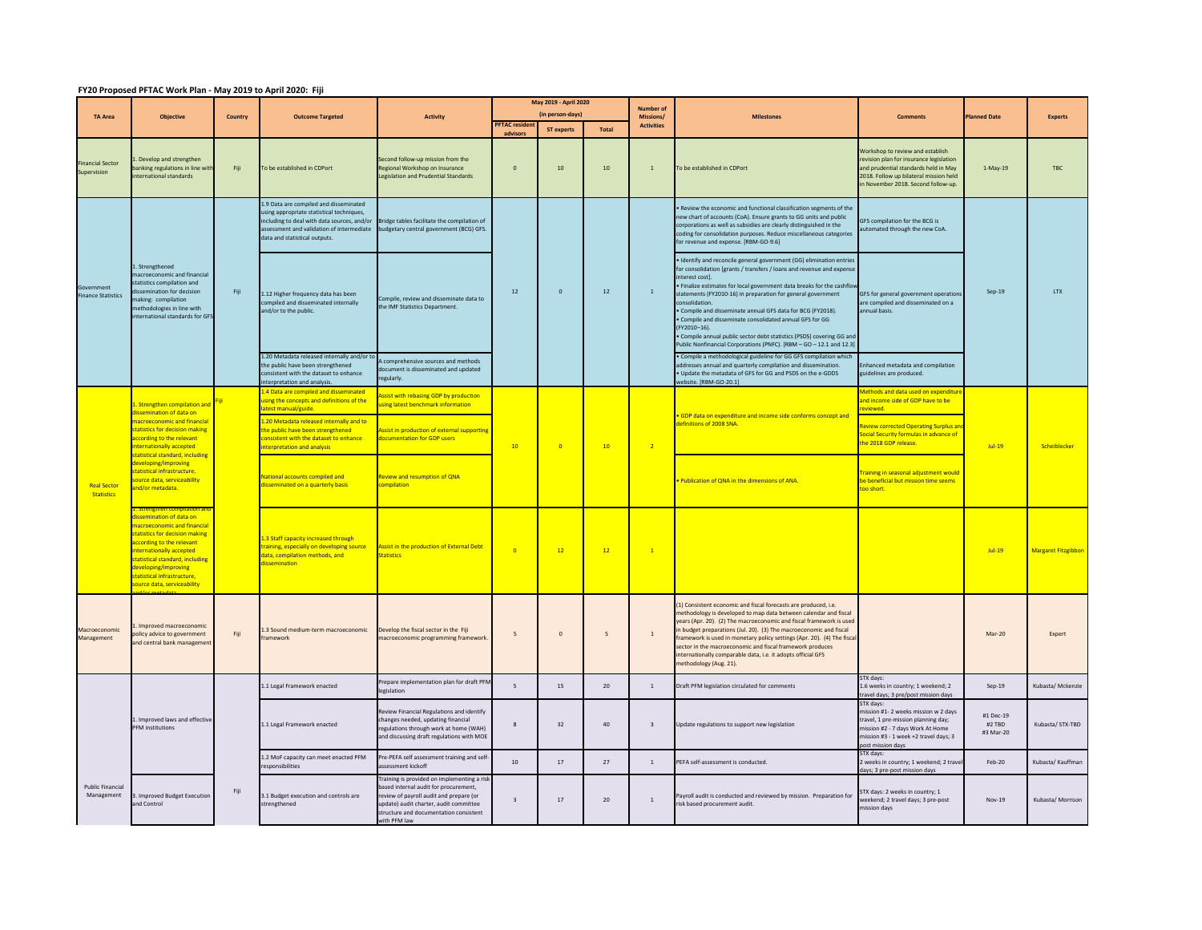## **FY20 Proposed PFTAC Work Plan ‐ May 2019 to April 2020: Fiji**

|                                         |                                                                                                                                                                                                                                                                                                                           |         |                                                                                                                                                                                                               |                                                                                                                                                                                                                               | May 2019 - April 2020                     |                   |                                | <b>Number of</b>        |                                                                                                                                                                                                                                                                                                                                                                                                                                                                                                                                                                                                                       |                                                                                                                                                                                                      |                                  |                            |
|-----------------------------------------|---------------------------------------------------------------------------------------------------------------------------------------------------------------------------------------------------------------------------------------------------------------------------------------------------------------------------|---------|---------------------------------------------------------------------------------------------------------------------------------------------------------------------------------------------------------------|-------------------------------------------------------------------------------------------------------------------------------------------------------------------------------------------------------------------------------|-------------------------------------------|-------------------|--------------------------------|-------------------------|-----------------------------------------------------------------------------------------------------------------------------------------------------------------------------------------------------------------------------------------------------------------------------------------------------------------------------------------------------------------------------------------------------------------------------------------------------------------------------------------------------------------------------------------------------------------------------------------------------------------------|------------------------------------------------------------------------------------------------------------------------------------------------------------------------------------------------------|----------------------------------|----------------------------|
| <b>TA Area</b>                          | Objective                                                                                                                                                                                                                                                                                                                 | Country | <b>Outcome Targeted</b>                                                                                                                                                                                       | <b>Activity</b>                                                                                                                                                                                                               | (in person-days)<br><b>PFTAC resident</b> |                   | Missions/<br><b>Activities</b> | <b>Milestones</b>       | <b>Comments</b>                                                                                                                                                                                                                                                                                                                                                                                                                                                                                                                                                                                                       | <b>Janned Date</b>                                                                                                                                                                                   | <b>Experts</b>                   |                            |
|                                         |                                                                                                                                                                                                                                                                                                                           |         |                                                                                                                                                                                                               |                                                                                                                                                                                                                               | advisors                                  | <b>ST experts</b> | <b>Total</b>                   |                         |                                                                                                                                                                                                                                                                                                                                                                                                                                                                                                                                                                                                                       |                                                                                                                                                                                                      |                                  |                            |
| <b>Financial Sector</b><br>Supervision  | Develop and strengthen<br>anking regulations in line with<br>aternational standards                                                                                                                                                                                                                                       | Fiji    | To be established in CDPort                                                                                                                                                                                   | econd follow-up mission from the<br>egional Workshop on Insurance<br>egislation and Prudential Standards                                                                                                                      | $\mathbf{0}$                              | 10 <sup>°</sup>   | $10\,$                         | $\overline{1}$          | To be established in CDPort                                                                                                                                                                                                                                                                                                                                                                                                                                                                                                                                                                                           | Workshop to review and establish<br>revision plan for insurance legislation<br>and prudential standards held in May<br>2018. Follow up bilateral mission held<br>in November 2018. Second follow-up. | $1-Mav-19$                       | <b>TBC</b>                 |
| Government<br><b>Finance Statistics</b> | L. Strengthened<br>acroeconomic and financial<br>statistics compilation and<br>issemination for decision<br>naking: compilation<br>nethodologies in line with<br>nternational standards for GFS                                                                                                                           | Fiji    | 1.9 Data are compiled and disseminated<br>sing appropriate statistical techniques.<br>cluding to deal with data sources, and/or<br>assessment and validation of intermediate<br>data and statistical outputs. | Bridge tables facilitate the compilation of<br>oudgetary central government (BCG) GFS.                                                                                                                                        |                                           |                   | $12\,$                         | $\mathbf 1$             | · Review the economic and functional classification segments of the<br>new chart of accounts (CoA). Ensure grants to GG units and public<br>corporations as well as subsidies are clearly distinguished in the<br>coding for consolidation purposes. Reduce miscellaneous categories<br>for revenue and expense. [RBM-GO-9.6]                                                                                                                                                                                                                                                                                         | <b>GFS compilation for the BCG is</b><br>utomated through the new CoA.                                                                                                                               | $Sep-19$                         | <b>LTX</b>                 |
|                                         |                                                                                                                                                                                                                                                                                                                           |         | 1.12 Higher frequency data has been<br>compiled and disseminated internally<br>and/or to the public.                                                                                                          | ompile, review and disseminate data to<br>he IMF Statistics Department.                                                                                                                                                       | $12$                                      | $\mathbf 0$       |                                |                         | · Identify and reconcile general government (GG) elimination entries<br>for consolidation [grants / transfers / loans and revenue and expens<br>interest cost).<br>. Finalize estimates for local government data breaks for the cashflo<br>statements (FY2010-16) in preparation for general government<br>consolidation.<br>· Compile and disseminate annual GFS data for BCG (FY2018).<br>. Compile and disseminate consolidated annual GFS for GG<br>(FY2010-16).<br>. Compile annual public sector debt statistics (PSDS) covering GG and<br>Public Nonfinancial Corporations (PNFC). [RBM - GO - 12.1 and 12.3] | <b>GFS for general government operations</b><br>are compiled and disseminated on a<br>annual basis.                                                                                                  |                                  |                            |
|                                         |                                                                                                                                                                                                                                                                                                                           |         | 1.20 Metadata released internally and/or t<br>the public have been strengthened<br>onsistent with the dataset to enhance<br>terpretation and analysis                                                         | A comprehensive sources and methods<br>locument is disseminated and updated<br>regularly.                                                                                                                                     |                                           |                   |                                |                         | · Compile a methodological guideline for GG GFS compilation which<br>addresses annual and quarterly compilation and dissemination.<br>. Undate the metadata of GES for GG and PSDS on the e-GDDS<br>ebsite. [RBM-GO-20.1]                                                                                                                                                                                                                                                                                                                                                                                             | inhanced metadata and compilation<br>guidelines are produced.                                                                                                                                        |                                  |                            |
| <b>Real Sector</b><br><b>Statistics</b> | . Strengthen compilation and<br>dissemination of data on<br>nacroeconomic and financia<br>statistics for decision making<br>according to the relevant<br>nternationally accepted<br>statistical standard, including<br>developing/improving<br>tatistical infrastructure<br>ource data, serviceability<br>nd/or metadata. |         | .4 Data are compiled and disseminated<br>sing the concepts and definitions of the                                                                                                                             | ssist with rebasing GDP by production<br>sing latest benchmark information                                                                                                                                                    |                                           | $\overline{0}$    | 10                             | $\overline{2}$          | GDP data on expenditure and income side conforms concept and<br>lefinitions of 2008 SNA.                                                                                                                                                                                                                                                                                                                                                                                                                                                                                                                              | Methods and data used on expenditure<br>and income side of GDP have to be                                                                                                                            | $Jul-19$                         |                            |
|                                         |                                                                                                                                                                                                                                                                                                                           |         | atest manual/guide.<br>20 Metadata released internally and to<br>the public have been strengthened<br>onsistent with the dataset to enhance<br>interpretation and analysis                                    | <b>Assist in production of external supporting</b><br><b>Iocumentation for GDP users</b>                                                                                                                                      | 10                                        |                   |                                |                         |                                                                                                                                                                                                                                                                                                                                                                                                                                                                                                                                                                                                                       | eviewed.<br>eview corrected Operating Surplus an<br>Social Security formulas in advance of<br>the 2018 GDP release.                                                                                  |                                  | Scheiblecker               |
|                                         |                                                                                                                                                                                                                                                                                                                           |         | National accounts compiled and<br>lisseminated on a quarterly basis                                                                                                                                           | Review and resumption of QNA<br>compilation                                                                                                                                                                                   |                                           |                   |                                |                         | Publication of QNA in the dimensions of ANA.                                                                                                                                                                                                                                                                                                                                                                                                                                                                                                                                                                          | <b>Fraining in seasonal adjustment would</b><br>be beneficial but mission time seems<br>oo short.                                                                                                    |                                  |                            |
|                                         | issemination of data on<br>nacroeconomic and financial<br><b>tatistics for decision making</b><br>according to the relevant<br>nternationally accepted<br>statistical standard, including<br>developing/improving<br>statistical infrastructure<br>ource data, serviceability                                             |         | 1.3 Staff capacity increased through<br>raining, especially on developing source<br>data, compilation methods, and<br><b>lissemination</b>                                                                    | Assist in the production of External Debt<br><b>Statistics</b>                                                                                                                                                                | $\overline{0}$                            | 12                | 12                             | $\overline{1}$          |                                                                                                                                                                                                                                                                                                                                                                                                                                                                                                                                                                                                                       |                                                                                                                                                                                                      | $Jul-19$                         | <b>Margaret Fitzgibbon</b> |
| Macroeconomic<br>Management             | Improved macroeconomic<br>policy advice to government<br>and central bank managemen                                                                                                                                                                                                                                       | Fiji    | 1.3 Sound medium-term macroeconomic<br>ramework                                                                                                                                                               | Develop the fiscal sector in the Fiii<br>acroeconomic programming framework                                                                                                                                                   | $5\overline{5}$                           | $\Omega$          | $\mathsf S$                    | $\overline{1}$          | (1) Consistent economic and fiscal forecasts are produced, i.e.<br>methodology is developed to map data between calendar and fiscal<br>years (Apr. 20). (2) The macroeconomic and fiscal framework is used<br>in budget preparations (Jul. 20). (3) The macroeconomic and fiscal<br>framework is used in monetary policy settings (Apr. 20). (4) The fisca<br>sector in the macroeconomic and fiscal framework produces<br>internationally comparable data, i.e. it adopts official GFS<br>methodology (Aug. 21).                                                                                                     |                                                                                                                                                                                                      | Mar-20                           | Expert                     |
|                                         | 1. Improved laws and effective<br><b>PFM</b> institutions                                                                                                                                                                                                                                                                 |         | 1.1 Legal Framework enacted                                                                                                                                                                                   | Prepare implementation plan for draft PFM<br>egislation                                                                                                                                                                       | 5 <sub>1</sub>                            | 15                | 20                             | $\,$ 1                  | Draft PFM legislation circulated for comments                                                                                                                                                                                                                                                                                                                                                                                                                                                                                                                                                                         | STX days:<br>1.6 weeks in country; 1 weekend; 2<br>ravel days; 3 pre/post mission days                                                                                                               | $Sep-19$                         | Kubasta/ Mckenzie          |
|                                         |                                                                                                                                                                                                                                                                                                                           |         | .1 Legal Framework enacted                                                                                                                                                                                    | Review Financial Regulations and identify<br>changes needed, updating financial<br>egulations through work at home (WAH)<br>and discussing draft regulations with MOE                                                         | 8                                         | 32                | 40                             | $\overline{\mathbf{3}}$ | Update regulations to support new legislation                                                                                                                                                                                                                                                                                                                                                                                                                                                                                                                                                                         | STX days:<br>mission #1- 2 weeks mission w 2 days<br>travel, 1 pre-mission planning day;<br>nission #2 - 7 days Work At Home<br>mission #3 - 1 week +2 travel days: 3<br>ost mission days            | #1 Dec-19<br>#2 TBD<br>#3 Mar-20 | Kubasta/STX-TBD            |
|                                         |                                                                                                                                                                                                                                                                                                                           |         | .2 MoF capacity can meet enacted PFM<br>esponsibilities                                                                                                                                                       | Pre-PEFA self assessment training and self-<br>ssessment kickoff                                                                                                                                                              | 10 <sup>10</sup>                          | 17                | 27                             | $\overline{1}$          | PEFA self-assessment is conducted.                                                                                                                                                                                                                                                                                                                                                                                                                                                                                                                                                                                    | <b>STX</b> days:<br>weeks in country; 1 weekend; 2 trave<br>days; 3 pre-post mission days                                                                                                            | Feb-20                           | Kubasta/ Kauffman          |
| <b>Public Financial</b><br>Management   | 3. Improved Budget Execution<br>and Control                                                                                                                                                                                                                                                                               | Fiji    | 3.1 Budget execution and controls are<br>strengthened                                                                                                                                                         | raining is provided on implementing a risk<br>ased internal audit for procurement,<br>eview of navroll audit and prepare (or<br>pdate) audit charter, audit committee<br>tructure and documentation consistent<br>ith PFM law | $\overline{\mathbf{3}}$                   | 17                | 20                             | $\overline{1}$          | Payroll audit is conducted and reviewed by mission. Preparation for<br>risk based procurement audit.                                                                                                                                                                                                                                                                                                                                                                                                                                                                                                                  | STX days: 2 weeks in country; 1<br>veekend; 2 travel days; 3 pre-post<br>nission days                                                                                                                | Nov-19                           | Kubasta/ Morrison          |